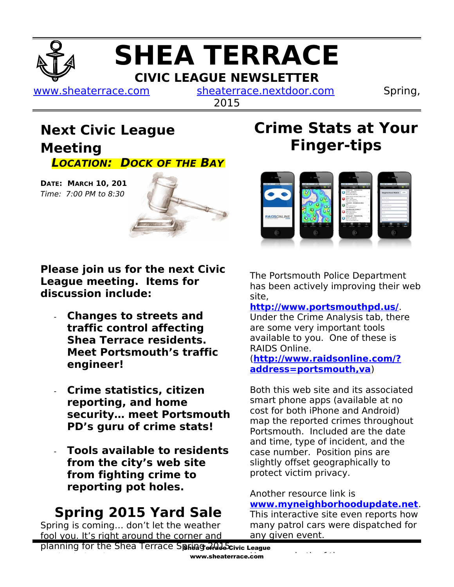# **SHEA TERRACE CIVIC LEAGUE NEWSLETTER**

[www.sheaterrace.com](http://www.sheaterrace.com/) [sheaterrace.nextdoor.com](http://sheaterrace.nextdoor.com/) Spring,

2015

### **Next Civic League Meeting LOCATION: DOCK OF THE BAY**

**DATE: MARCH 10, 201**  $Time: 7:00 PM to 8:30$ 



**Please join us for the next Civic League meeting. Items for discussion include:**

- **Changes to streets and traffic control affecting Shea Terrace residents. Meet Portsmouth's traffic engineer!**
- **Crime statistics, citizen reporting, and home security… meet Portsmouth PD's guru of crime stats!**
- **Tools available to residents from the city's web site from fighting crime to reporting pot holes.**

## **Spring 2015 Yard Sale**

Spring is coming… don't let the weather fool you. It's right around the corner and

## **Crime Stats at Your Finger-tips**



The Portsmouth Police Department has been actively improving their web site,

#### **<http://www.portsmouthpd.us/>**.

Under the Crime Analysis tab, there are some very important tools available to you. One of these is RAIDS Online.

#### (**[http://www.raidsonline.com/?](http://www.raidsonline.com/?address=portsmouth,va) [address=portsmouth,va](http://www.raidsonline.com/?address=portsmouth,va)**)

Both this web site and its associated smart phone apps (available at no cost for both iPhone and Android) map the reported crimes throughout Portsmouth. Included are the date and time, type of incident, and the case number. Position pins are slightly offset geographically to protect victim privacy.

Another resource link is **[www.myneighborhoodupdate.net](http://www.myneighborhoodupdate.net/)**.

This interactive site even reports how many patrol cars were dispatched for any given event.

planning for the Shea Terrace Spring 2nd abcivic League www.sheaterrace.com Yard sale has begun.

However, both of these resources are